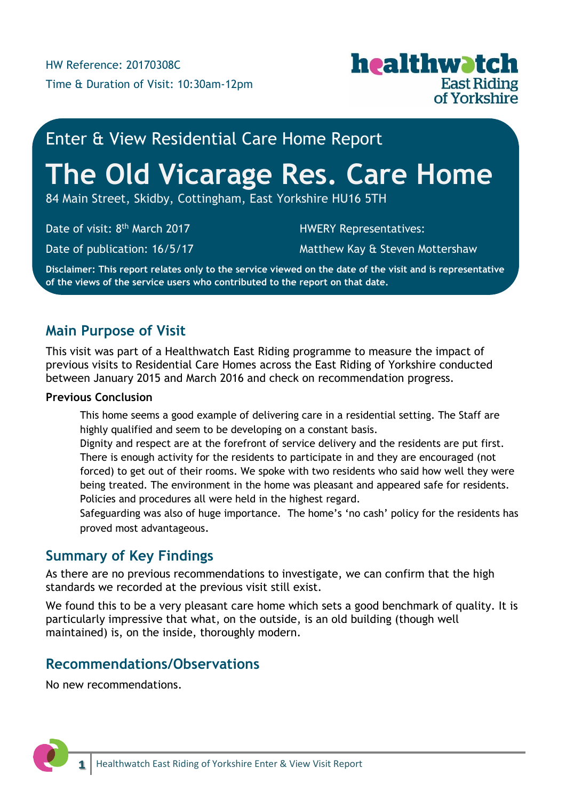

# Enter & View Residential Care Home Report

# **The Old Vicarage Res. Care Home**

84 Main Street, Skidby, Cottingham, East Yorkshire HU16 5TH

Date of visit: 8<sup>th</sup> March 2017

Date of publication: 16/5/17

HWERY Representatives:

Matthew Kay & Steven Mottershaw

**Disclaimer: This report relates only to the service viewed on the date of the visit and is representative of the views of the service users who contributed to the report on that date.**

## **Main Purpose of Visit**

This visit was part of a Healthwatch East Riding programme to measure the impact of previous visits to Residential Care Homes across the East Riding of Yorkshire conducted between January 2015 and March 2016 and check on recommendation progress.

### **Previous Conclusion**

This home seems a good example of delivering care in a residential setting. The Staff are highly qualified and seem to be developing on a constant basis.

Dignity and respect are at the forefront of service delivery and the residents are put first. There is enough activity for the residents to participate in and they are encouraged (not forced) to get out of their rooms. We spoke with two residents who said how well they were being treated. The environment in the home was pleasant and appeared safe for residents. Policies and procedures all were held in the highest regard.

Safeguarding was also of huge importance. The home's 'no cash' policy for the residents has proved most advantageous.

## **Summary of Key Findings**

As there are no previous recommendations to investigate, we can confirm that the high standards we recorded at the previous visit still exist.

We found this to be a very pleasant care home which sets a good benchmark of quality. It is particularly impressive that what, on the outside, is an old building (though well maintained) is, on the inside, thoroughly modern.

## **Recommendations/Observations**

No new recommendations.

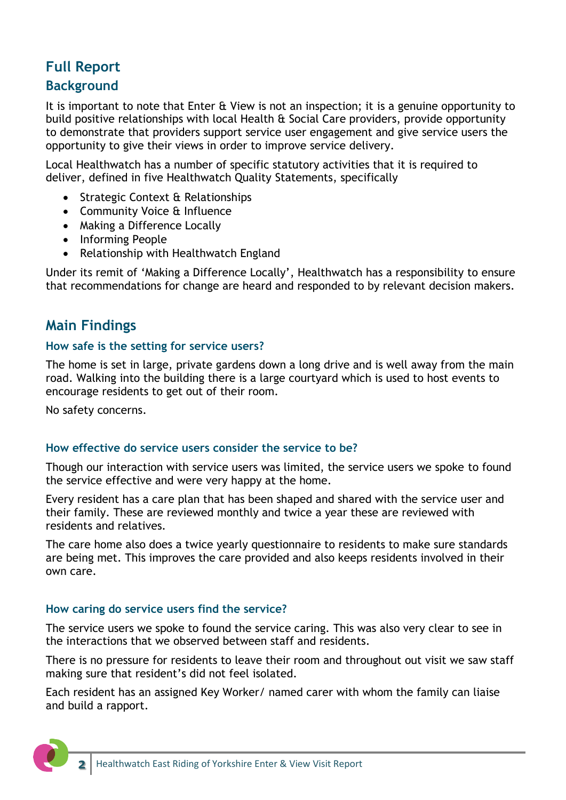## **Full Report**

## **Background**

It is important to note that Enter & View is not an inspection; it is a genuine opportunity to build positive relationships with local Health & Social Care providers, provide opportunity to demonstrate that providers support service user engagement and give service users the opportunity to give their views in order to improve service delivery.

Local Healthwatch has a number of specific statutory activities that it is required to deliver, defined in five Healthwatch Quality Statements, specifically

- Strategic Context & Relationships
- Community Voice & Influence
- Making a Difference Locally
- Informing People
- Relationship with Healthwatch England

Under its remit of 'Making a Difference Locally', Healthwatch has a responsibility to ensure that recommendations for change are heard and responded to by relevant decision makers.

## **Main Findings**

#### **How safe is the setting for service users?**

The home is set in large, private gardens down a long drive and is well away from the main road. Walking into the building there is a large courtyard which is used to host events to encourage residents to get out of their room.

No safety concerns.

#### **How effective do service users consider the service to be?**

Though our interaction with service users was limited, the service users we spoke to found the service effective and were very happy at the home.

Every resident has a care plan that has been shaped and shared with the service user and their family. These are reviewed monthly and twice a year these are reviewed with residents and relatives.

The care home also does a twice yearly questionnaire to residents to make sure standards are being met. This improves the care provided and also keeps residents involved in their own care.

#### **How caring do service users find the service?**

The service users we spoke to found the service caring. This was also very clear to see in the interactions that we observed between staff and residents.

There is no pressure for residents to leave their room and throughout out visit we saw staff making sure that resident's did not feel isolated.

Each resident has an assigned Key Worker/ named carer with whom the family can liaise and build a rapport.